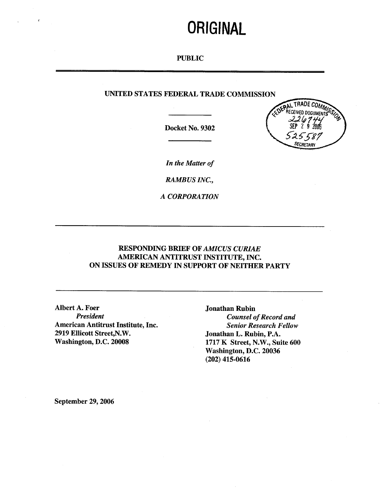# **ORIGINAL**

## PUBLIC

# UNITED STATES FEDERAL TRADE COMMISSION

Docket No. 9302



In the Matter of

RAMBUS INC.

A CORPORATION

# RESPONDING BRIEF OF AMICUS CURIAE AMERICAN ANTITRUST INSTITUTE, INC. ON ISSUES OF REMEDY IN SUPPORT OF NEITHER PARTY

Albert A. Foer Jonathan Rubin<br>President Counsel of American Antitrust Institute, Inc. Senior Research Fellow 2919 Ellicott Street, N.W.<br>
Washington, D.C. 20008 1717 K Street, N.W., Sui

**Counsel of Record and** 1717 K Street, N.W., Suite 600 Washington, D.C. 20036 (202) 415-0616

September 29, 2006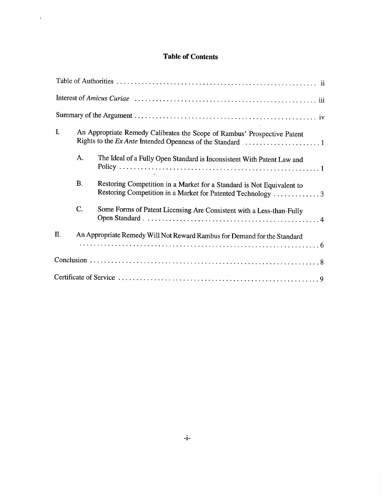# Table of Contents

 $\mathcal{A}_{\mathrm{max}}$  and  $\mathcal{A}_{\mathrm{max}}$ 

| I. | An Appropriate Remedy Calibrates the Scope of Rambus' Prospective Patent |                                                                                                                                      |
|----|--------------------------------------------------------------------------|--------------------------------------------------------------------------------------------------------------------------------------|
|    | A.                                                                       | The Ideal of a Fully Open Standard is Inconsistent With Patent Law and                                                               |
|    | <b>B.</b>                                                                | Restoring Competition in a Market for a Standard is Not Equivalent to<br>Restoring Competition in a Market for Patented Technology 3 |
|    | C.                                                                       | Some Forms of Patent Licensing Are Consistent with a Less-than-Fully                                                                 |
| П. | An Appropriate Remedy Will Not Reward Rambus for Demand for the Standard |                                                                                                                                      |
|    |                                                                          |                                                                                                                                      |
|    |                                                                          |                                                                                                                                      |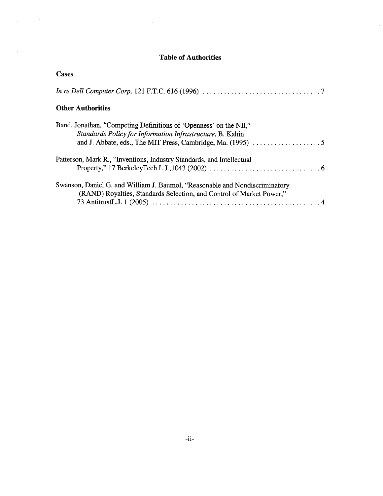# Table of Authorities

 $\bar{z}$ 

 $\hat{\boldsymbol{\gamma}}$ 

 $\sqrt{\frac{1}{2}}$  ,  $\frac{1}{2}$  ,  $\frac{1}{2}$  ,  $\frac{1}{2}$ 

 $\mathcal{A}^{\pm}$ 

| <b>Cases</b>                                                                                                                                                                                  |  |  |  |
|-----------------------------------------------------------------------------------------------------------------------------------------------------------------------------------------------|--|--|--|
| In re Dell Computer Corp. 121 F.T.C. 616 (1996) $\ldots \ldots \ldots \ldots \ldots \ldots \ldots \ldots \ldots \ldots \ldots$                                                                |  |  |  |
| <b>Other Authorities</b>                                                                                                                                                                      |  |  |  |
| Band, Jonathan, "Competing Definitions of 'Openness' on the NII,"<br>Standards Policy for Information Infrastructure, B. Kahin                                                                |  |  |  |
| Patterson, Mark R., "Inventions, Industry Standards, and Intellectual<br>Property," 17 BerkeleyTech.L.J., 1043 (2002) $\ldots \ldots \ldots \ldots \ldots \ldots \ldots \ldots \ldots \ldots$ |  |  |  |
| Swanson, Daniel G. and William J. Baumol, "Reasonable and Nondiscriminatory"<br>(RAND) Royalties, Standards Selection, and Control of Market Power,"                                          |  |  |  |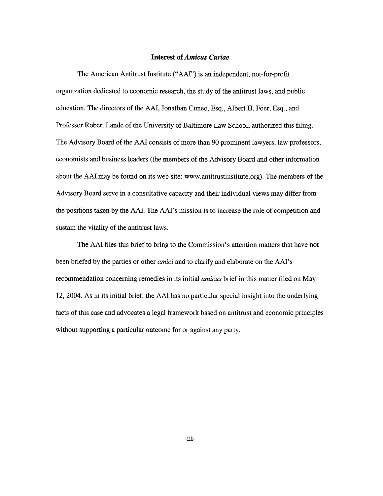## Interest of Amicus Curiae

The American Antitrust Institute ("AAI") is an independent, not-for-profit organization dedicated to economic research, the study of the antitrust laws, and public education. The directors of the AAI, Jonathan Cuneo, Esq. , Albert H. Foer, Esq. , and Professor Robert Lande of the University of Baltimore Law School, authorized this filing. The Advisory Board of the AAI consists of more than 90 prominent lawyers, law professors economists and business leaders (the members of the Advisory Board and other information about the AAI may be found on its web site: www.antitrustinstitute.org). The members of the Advisory Board serve in a consultative capacity and their individual views may differ from the positions taken by the AAI. The AAI's mission is to increase the role of competition and sustain the vitality of the antitrust laws.

The AAI files this brief to bring to the Commission's attention matters that have not been briefed by the parties or other *amici* and to clarify and elaborate on the AAI's recommendation concerning remedies in its initial *amicus* brief in this matter filed on May 2004. As in its initial brief, the AAI has no particular special insight into the underlying facts of this case and advocates a legal framework based on antitrust and economic principles without supporting a paricular outcome for or against any party.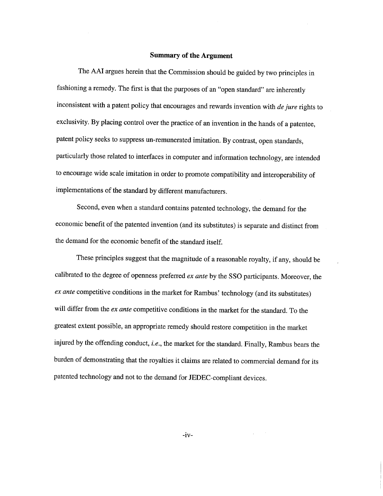### Summary of the Argument

The AAI argues herein that the Commission should be guided by two principles in fashioning a remedy. The first is that the purposes of an "open standard" are inherently Inconsistent with a patent policy that encourages and rewards invention with  $de$  jure rights to exclusivity. By placing control over the practice of an invention in the hands of a patentee patent policy seeks to suppress un-remunerated imitation. By contrast, open standards particularly those related to interfaces in computer and information technology, are intended to encourage wide scale imitation in order to promote compatibilty and interoperabilty of implementations of the standard by different manufacturers.

Second, even when a standard contains patented technology, the demand for the economic benefit of the patented invention (and its substitutes) is separate and distinct from the demand for the economic benefit of the standard itself.

These principles suggest that the magnitude of a reasonable royalty, if any, should be calibrated to the degree of openness preferred ex ante by the SSO participants. Moreover, the ex ante competitive conditions in the market for Rambus' technology (and its substitutes) will differ from the *ex ante* competitive conditions in the market for the standard. To the greatest extent possible, an appropriate remedy should restore competition in the market injured by the offending conduct, i.e., the market for the standard. Finally, Rambus bears the burden of demonstrating that the royalties it claims are related to commercial demand for its patented technology and not to the demand for JEDEC-compliant devices.

 $-iv-$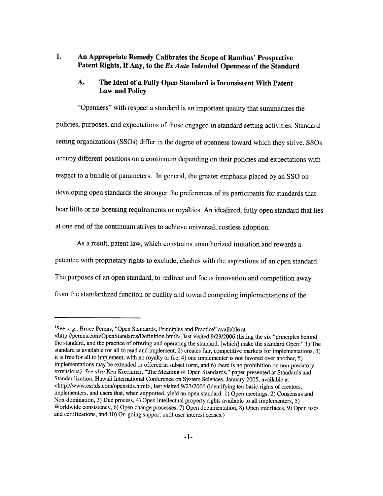#### I. An Appropriate Remedy Calibrates the Scope of Rambus' Prospective Patent Rights, If Any, to the Ex-Ante Intended Openness of the Standard

#### А. The Ideal of a Fully Open Standard is Inconsistent With Patent Law and Policy

Openness" with respect a standard is an important quality that summarzes the policies, purposes, and expectations of those engaged in standard setting activities. Standard setting organizations (SSOs) differ in the degree of openness toward which they strive. SSOs occupy different positions on a continuum depending on their policies and expectations with respect to a bundle of parameters.<sup>1</sup> In general, the greater emphasis placed by an SSO on developing open standards the stronger the preferences of its paricipants for standards that bear little or no licensing requirements or royalties. An idealized, fully open standard that lies at one end of the continuum strives to achieve universal, costless adoption.

As a result, patent law, which constrains unauthorized imitation and rewards a patentee with proprietary rights to exclude, clashes with the aspirations of an open standard. The purposes of an open standard, to redirect and focus innovation and competition away from the standardized function or quality and toward competing implementations of the

<sup>&</sup>lt;sup>1</sup>See, e.g., Bruce Perens, "Open Standards, Principles and Practice" available at <http://perens.com/OpenStandards/Definition.html>, last visited 9/23/2006 (listing the six "principles behind the standard, and the practice of offering and operating the standard, (which) make the standard Open:" 1) The standard is available for all to read and implement, 2) creates fair, competitive markets for implementations, 3) it is free for all to implement, with no royalty or fee, 4) one implementer is not favored over another implementations may be extended or offered in subset form, and 6) there is no prohibition on non-predatory extensions). See also Ken Krechmer, "The Meaning of Open Standards," paper presented at Standards and Standardization, Hawaii International Conference on System Sciences, January 2005, available at <http://www.esrtds.com/openstds.html>, last visited 9/23/2006 (identifying ten basic rights of creators, implementers, and users that, when supported, yield an open standard: 1) Open meetings, 2) Consensus and Non-domination, 3) Due process, 4) Open intellectual property rights available to all implementers, 5) Worldwide consistency, 6) Open change processes, 7) Open documentation, 8) Open interfaces, 9) Open uses and certifications, and 10) On-going support until user interest ceases.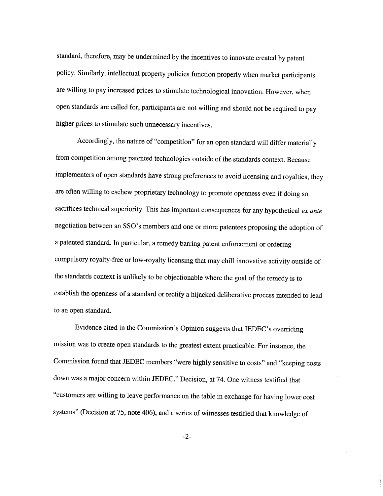standard, therefore, may be undermined by the incentives to innovate created by patent policy. Similarly, intellectual property policies function properly when market paricipants are wiling to pay increased prices to stimulate technological innovation. However, when open standards are called for, participants are not willing and should not be required to pay higher prices to stimulate such unnecessary incentives.

Accordingly, the nature of "competition" for an open standard will differ materially from competition among patented technologies outside of the standards context. Because implementers of open standards have strong preferences to avoid licensing and royalties, they are often wiling to eschew proprietary technology to promote openness even if doing so sacrifices technical superiority. This has important consequences for any hypothetical *ex ante* negotiation between an SSO's members and one or more patentees proposing the adoption of a patented standard. In paricular, a remedy baring patent enforcement or ordering compulsory royalty-free or low-royalty licensing that may chil innovative activity outside of the standards context is unlikely to be objectionable where the goal of the remedy is to establish the openness of a standard or rectify a hijacked deliberative process intended to lead to an open standard.

Evidence cited in the Commission's Opinion suggests that JEDEC's overriding mission was to create open standards to the greatest extent practicable. For instance, the Commission found that JEDEC members "were highly sensitive to costs" and "keeping costs down was a major concern within JEDEC." Decision, at 74. One witness testified that customers are wiling to leave performance on the table in exchange for having lower cost systems" (Decision at 75, note 406), and a series of witnesses testified that knowledge of

 $-2-$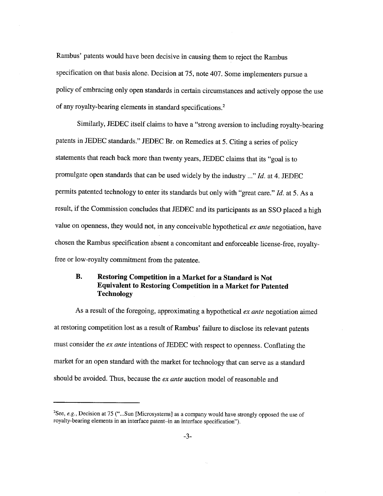Rambus' patents would have been decisive in causing them to reject the Rambus specification on that basis alone. Decision at 75, note 407. Some implementers pursue a policy of embracing only open standards in certain circumstances and actively oppose the use of any royalty-bearing elements in standard specifications.<sup>2</sup>

Similarly, JEDEC itself claims to have a "strong aversion to including royalty-bearing patents in JEDEC standards." JEDEC Br. on Remedies at 5. Citing a series of policy statements that reach back more than twenty years, JEDEC claims that its "goal is to promulgate open standards that can be used widely by the industry..." Id. at 4. JEDEC permits patented technology to enter its standards but only with "great care."  $Id$ . at 5. As a result, if the Commission concludes that JEDEC and its paricipants as an SSO placed a high value on openness, they would not, in any conceivable hypothetical  $ex$  ante negotiation, have chosen the Rambus specification absent a concomitant and enforceable license-free, royaltyfree or low-royalty commitment from the patentee.

#### **B.** Restoring Competition in a Market for a Standard is Not Equivalent to Restoring Competition in a Market for Patented Technology

As a result of the foregoing, approximating a hypothetical ex ante negotiation aimed at restoring competition lost as a result of Rambus' failure to disclose its relevant patents must consider the *ex ante* intentions of JEDEC with respect to openness. Conflating the market for an open standard with the market for technology that can serve as a standard should be avoided. Thus, because the *ex ante* auction model of reasonable and

<sup>&</sup>lt;sup>2</sup>See, e.g., Decision at 75 ("...Sun [Microsystems] as a company would have strongly opposed the use of royalty-bearing elements in an interface patent-in an interface specification").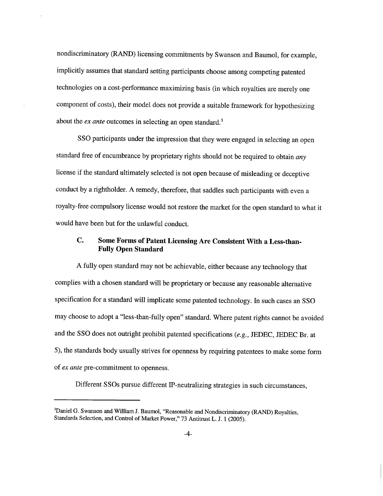nondiscriminatory (RAND) licensing commitments by Swanson and Baumol, for example implicitly assumes that standard setting paricipants choose among competing patented technologies on a cost-performance maximizing basis (in which royalties are merely one component of costs), their model does not provide a suitable framework for hypothesizing about the *ex ante* outcomes in selecting an open standard.<sup>3</sup>

SSO paricipants under the impression that they were engaged in selecting an open standard free of encumbrance by proprietary rights should not be required to obtain any license if the standard ultimately selected is not open because of misleading or deceptive conduct by a rightholder. A remedy, therefore, that saddles such paricipants with even a royalty-free compulsory license would not restore the market for the open standard to what it would have been but for the unlawful conduct.

#### C. Some Forms of Patent Licensing Are Consistent With a Less-than-Fully Open Standard

A fully open standard may not be achievable, either because any technology that complies with a chosen standard will be proprietary or because any reasonable alternative specification for a standard will implicate some patented technology. In such cases an SSO may choose to adopt a "less-than-fully open" standard. Where patent rights cannot be avoided and the SSO does not outright prohibit patented specifications  $(e.g., JEDEC, JEDEC, Br.$  at 5), the standards body usually strives for openness by requiring patentees to make some form of ex ante pre-commitment to openness.

Different SSOs pursue different IP-neutralizing strategies in such circumstances

<sup>&</sup>lt;sup>3</sup>Daniel G. Swanson and William J. Baumol, "Reasonable and Nondiscriminatory (RAND) Royalties, Standards Selection, and Control of Market Power," 73 Antitrust L. J. 1 (2005).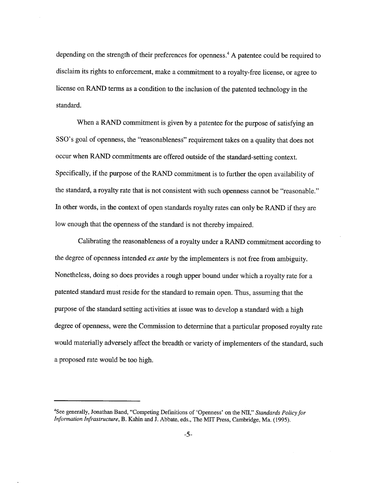depending on the strength of their preferences for openness.<sup>4</sup> A patentee could be required to disclaim its rights to enforcement, make a commitment to a royalty-free license, or agree to license on RAD terms as a condition to the inclusion of the patented technology in the standard.

When a RAND commitment is given by a patentee for the purpose of satisfying an SSO's goal of openness, the "reasonableness" requirement takes on a quality that does not occur when RAD commitments are offered outside of the standard-setting context. Specifically, if the purpose of the RAND commitment is to further the open availability of the standard, a royalty rate that is not consistent with such openness cannot be "reasonable. In other words, in the context of open standards royalty rates can only be RAND if they are low enough that the openness of the standard is not thereby impaired.

Calibrating the reasonableness of a royalty under a RAD commitment according to the degree of openness intended *ex ante* by the implementers is not free from ambiguity. Nonetheless, doing so does provides a rough upper bound under which a royalty rate for a patented standard must reside for the standard to remain open. Thus, assuming that the purpose of the standard setting activities at issue was to develop a standard with a high degree of openness, were the Commission to determine that a paricular proposed royalty rate would materially adversely affect the breadth or variety of implementers of the standard, such a proposed rate would be too high.

<sup>&</sup>lt;sup>4</sup>See generally, Jonathan Band, "Competing Definitions of 'Openness' on the NII," Standards Policy for Information Infrastructure, B. Kahin and J. Abbate, eds., The MIT Press, Cambridge, Ma. (1995).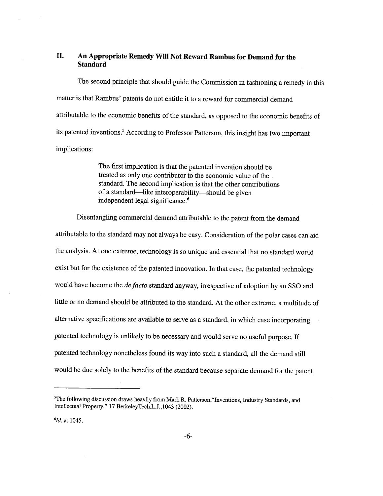# II. An Appropriate Remedy Will Not Reward Rambus for Demand for the Standard

Tbe second principle that should guide the Commission in fashioning a remedy in this matter is that Rambus' patents do not entitle it to a reward for commercial demand attributable to the economic benefits of the standard, as opposed to the economic benefits of its patented inventions.<sup>5</sup> According to Professor Patterson, this insight has two important implications:

> The first implication is that the patented invention should be treated as only one contributor to the economic value of the standard. The second implication is that the other contributions of a standard—like interoperability—should be given independent legal significance.

Disentangling commercial demand attributable to the patent from the demand attributable to the standard may not always be easy. Consideration of the polar cases can aid the analysis. At one extreme, technology is so unique and essential that no standard would exist but for the existence of the patented innovation. In that case, the patented technology would have become the *de facto* standard anyway, irrespective of adoption by an SSO and little or no demand should be attributed to the standard. At the other extreme, a multitude of alternative specifications are available to serve as a standard, in which case incorporating patented technology is unlikely to be necessary and would serve no useful purpose. If patented technology nonetheless found its way into such a standard, all the demand stil would be due solely to the benefits of the standard because separate demand for the patent

 $5$ The following discussion draws heavily from Mark R. Patterson, "Inventions, Industry Standards, and Intellectual Property," 17 BerkeleyTech.L.J. 1043 (2002).

 $^{6}$ Id. at 1045.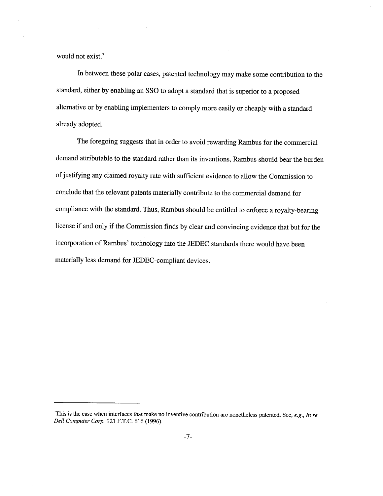would not exist.<sup>7</sup>

In between these polar cases, patented technology may make some contribution to the standard, either by enabling an SSO to adopt a standard that is superior to a proposed alternative or by enabling implementers to comply more easily or cheaply with a standard already adopted.

The foregoing suggests that in order to avoid rewarding Rambus for the commercial demand attributable to the standard rather than its inventions, Rambus should bear the burden of justifying any claimed royalty rate with sufficient evidence to allow the Commission to conclude that the relevant patents materially contribute to the commercial demand for compliance with the standard. Thus, Rambus should be entitled to enforce a royalty-bearing license if and only if the Commission finds by clear and convincing evidence that but for the incorporation of Rambus' technology into the JEDEC standards there would have been materially less demand for JEDEC-compliant devices.

<sup>&</sup>lt;sup>7</sup>This is the case when interfaces that make no inventive contribution are nonetheless patented. See, e.g., In re Dell Computer Corp. 121 F.T.C. 616 (1996).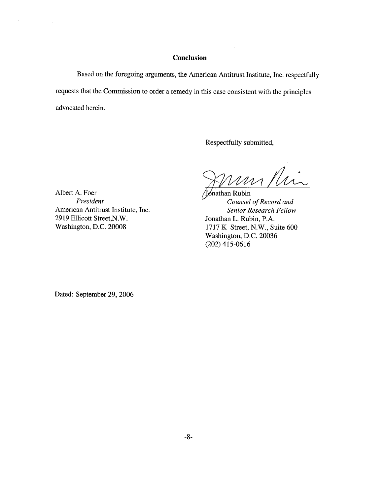## **Conclusion**

Based on the foregoing arguments, the American Antitrust Institute, Inc. respectfully requests that the Commission to order a remedy in this case consistent with the principles advocated herein.

Respectfully submitted

mi fhir

Jonathan Rubin President Counsel of Record and 1717 K Street, N.W., Suite 600 Washington, D.C. 20036 (202) 415-0616

Albert A. Foer American Antitrust Institute, Inc. Senior Research Fellow 2919 Ellicott Street, N.W.<br>
Washington, D.C. 20008 1717 K Street, N.W., Su

 $\omega$ 

Dated: September 29, 2006